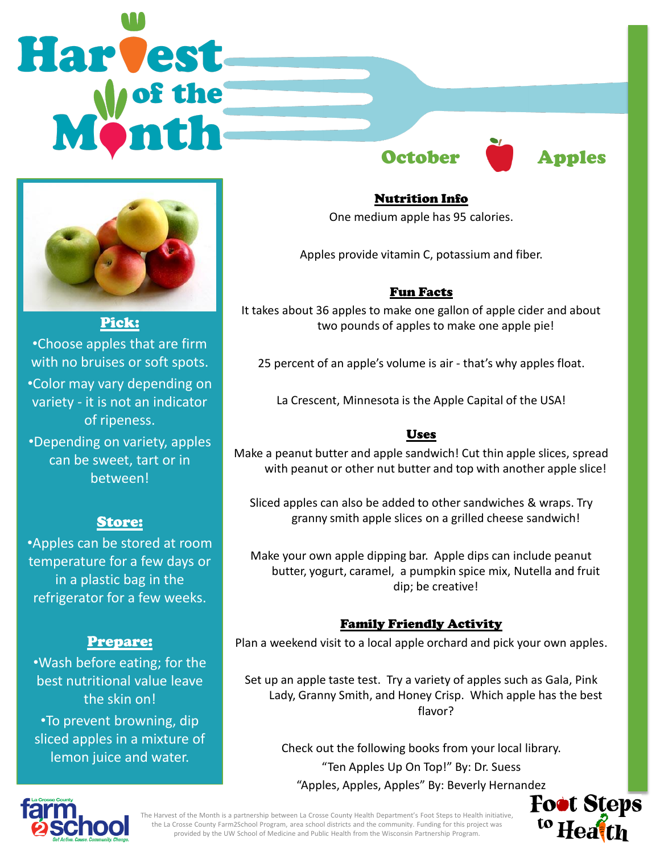# **Harvest** October **Apples**



Pick: •Choose apples that are firm with no bruises or soft spots. •Color may vary depending on variety - it is not an indicator of ripeness. •Depending on variety, apples

can be sweet, tart or in between!

#### Store:

•Apples can be stored at room temperature for a few days or in a plastic bag in the refrigerator for a few weeks.

# Prepare:

•Wash before eating; for the best nutritional value leave the skin on! •To prevent browning, dip sliced apples in a mixture of lemon juice and water.



# Nutrition Info

One medium apple has 95 calories.

Apples provide vitamin C, potassium and fiber.

### Fun Facts

It takes about 36 apples to make one gallon of apple cider and about two pounds of apples to make one apple pie!

25 percent of an apple's volume is air - that's why apples float.

La Crescent, Minnesota is the Apple Capital of the USA!

#### Uses

Make a peanut butter and apple sandwich! Cut thin apple slices, spread with peanut or other nut butter and top with another apple slice!

Sliced apples can also be added to other sandwiches & wraps. Try granny smith apple slices on a grilled cheese sandwich!

Make your own apple dipping bar. Apple dips can include peanut butter, yogurt, caramel, a pumpkin spice mix, Nutella and fruit dip; be creative!

#### Family Friendly Activity

Plan a weekend visit to a local apple orchard and pick your own apples.

Set up an apple taste test. Try a variety of apples such as Gala, Pink Lady, Granny Smith, and Honey Crisp. Which apple has the best flavor?

Check out the following books from your local library. "Ten Apples Up On Top!" By: Dr. Suess "Apples, Apples, Apples" By: Beverly Hernandez





provided by the UW School of Medicine and Public Health from the Wisconsin Partnership Program.<br>. The Harvest of the Month is a partnership between La Crosse County Health Department's Foot Steps to Health initiative, the La Crosse County Farm2School Program, area school districts and the community. Funding for this project was